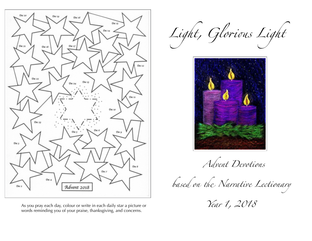

As you pray each day, colour or write in each daily star a picture or words reminding you of your praise, thanksgiving, and concerns.

*Light, Glo*ro*s Light*



 *Advent Devotions* 

based on the Narrative Lectionary

 *Year 1, 2018*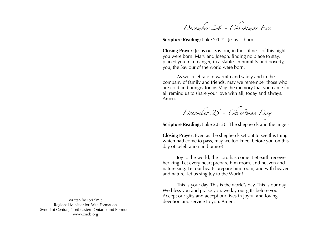*December 24 - Ch*rs*mas Eve*

**Scripture Reading:** Luke 2:1-7 - Jesus is born

**Closing Prayer:** Jesus our Saviour, in the stillness of this night you were born. Mary and Joseph, finding no place to stay, placed you in a manger, in a stable. In humility and poverty, you, the Saviour of the world were born.

 As we celebrate in warmth and safety and in the company of family and friends, may we remember those who are cold and hungry today. May the memory that you came for all remind us to share your love with all, today and always. Amen.

 $December 25 - Christmas$  Day

**Scripture Reading:** Luke 2:8-20 -The shepherds and the angels

**Closing Prayer:** Even as the shepherds set out to see this thing which had come to pass, may we too kneel before you on this day of celebration and praise!

 Joy to the world, the Lord has come! Let earth receive her king. Let every heart prepare him room, and heaven and nature sing. Let our hearts prepare him room, and with heaven and nature, let us sing Joy to the World!

 This is your day. This is the world's day. This is our day. We bless you and praise you, we lay our gifts before you. Accept our gifts and accept our lives in joyful and loving devotion and service to you. Amen.

written by Tori Smit Regional Minister for Faith Formation Synod of Central, Northeastern Ontario and Bermuda www.cnob.org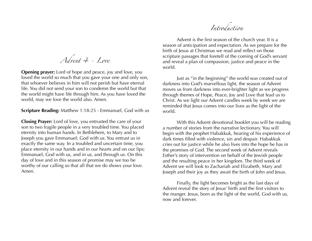*Introduction*

 Advent is the first season of the church year. It is a season of anticipation and expectation. As we prepare for the birth of Jesus at Christmas we read and reflect on those scripture passages that foretell of the coming of God's servant and reveal a plan of compassion, justice and peace in the world.

 Just as "in the beginning" the world was created out of darkness into God's marvellous light, the season of Advent moves us from darkness into ever-brighter light as we progress through themes of Hope, Peace, Joy and Love that lead us to Christ. As we light our Advent candles week by week we are reminded that Jesus comes into our lives as the light of the world.

 With this Advent devotional booklet you will be reading a number of stories from the narrative lectionary. You will begin with the prophet Habakkuk, hearing of his experience of dark times filled with violence, sin and despair. Habakkuk cries out for justice while he also lives into the hope he has in the promises of God. The second week of Advent reveals Esther's story of intervention on behalf of the Jewish people and the resulting peace in her kingdom. The third week of Advent we will look to Zachariah and Elizabeth, Mary and Joseph and their joy as they await the birth of John and Jesus.

 Finally, the light becomes bright as the last days of Advent reveal the story of Jesus' birth and the first visitors to the manger. Jesus, born as the light of the world, God with us, now and forever.

*Advent 4 - Love*

**Opening prayer:** Lord of hope and peace, joy and love, you loved the world so much that you gave your one and only son, that whoever believes in him will not perish but have eternal life. You did not send your son to condemn the world but that the world might have life through him. As you have loved the world, may we love the world also. Amen.

**Scripture Reading:** Matthew 1:18-25 - Emmanuel, God with us

**Closing Prayer:** Lord of love, you entrusted the care of your son to two fragile people in a very troubled time. You placed eternity into human hands. In Bethlehem, to Mary and to Joseph you gave Emmanuel; God with us. You entrust us in exactly the same way. In a troubled and uncertain time, you place eternity in our hands and in our hearts and on our lips; Emmanuel, God with us, and in us, and through us. On this day of love and in this season of promise may we too be worthy of our calling so that all that we do shows your love. Amen.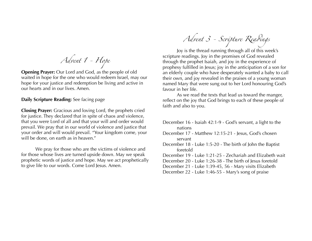*Advent 1 - Hope*

**Opening Prayer:** Our Lord and God, as the people of old waited in hope for the one who would redeem Israel, may our hope for your justice and redemption be living and active in our hearts and in our lives. Amen.

**Daily Scripture Reading:** See facing page

**Closing Prayer:** Gracious and loving Lord, the prophets cried for justice. They declared that in spite of chaos and violence, that you were Lord of all and that your will and order would prevail. We pray that in our world of violence and justice that your order and will would prevail. "Your kingdom come, your will be done, on earth as in heaven."

 We pray for those who are the victims of violence and for those whose lives are turned upside down. May we speak prophetic words of justice and hope. May we act prophetically to give life to our words. Come Lord Jesus. Amen.

*Advent 3 - Sc*r*pture Rea*d*ngs*

 Joy is the thread running through all of this week's scripture readings. Joy in the promises of God revealed through the prophet Isaiah, and joy in the experience of prophesy fulfilled in Jesus; joy in the anticipation of a son for an elderly couple who have desperately wanted a baby to call their own, and joy revealed in the praises of a young woman named Mary that were sung out to her Lord honouring God's favour in her life.

 As we read the texts that lead us toward the manger, reflect on the joy that God brings to each of these people of faith and also to you.

- December 16 Isaiah 42:1-9 God's servant, a light to the nations
- December 17 Matthew 12:15-21 Jesus, God's chosen servant

December 18 - Luke 1:5-20 - The birth of John the Baptist foretold

December 19 - Luke 1:21-25 - Zechariah and Elizabeth wait

December 20 - Luke 1:26-38 - The birth of Jesus foretold

December 21 - Luke 1:39-45, 56 - Mary visits Elizabeth

December 22 - Luke 1:46-55 - Mary's song of praise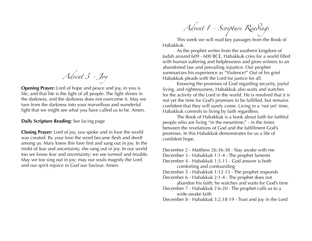*Advent 3 - Joy*

**Opening Prayer:** Lord of hope and peace and joy, in you is life, and that life is the light of all people. The light shines in the darkness, and the darkness does not overcome it. May we turn from the darkness into your marvellous and wonderful light that we might see what you have called us to be. Amen.

## **Daily Scripture Reading:** See facing page

**Closing Prayer:** Lord of joy, you spoke and in love the world was created. By your love the word became flesh and dwelt among us. Mary knew this love first and sang out in joy. In the midst of fear and uncertainty, she sang out in joy. In our world too we know fear and uncertainty; we see turmoil and trouble. May we too sing out in joy; may our souls magnify the Lord and our spirit rejoice in God our Saviour. Amen.

*Advent 1 - Sc*r*pture Rea*d*ngs*

 This week we will read key passages from the Book of Habakkuk.

 As the prophet writes from the southern kingdom of Judah around 609 - 600 BCE, Habakkuk cries for a world filled with human suffering and helplessness and gives witness to an abandoned law and prevailing injustice. Our prophet summarizes his experience as "Violence!" Out of his grief Habakkuk pleads with the Lord for justice for all.

 Knowing the promises of God regarding security, joyful living, and righteousness, Habakkuk also waits and watches for the activity of the Lord in the world. He is resolved that it is not yet the time for God's promises to be fulfilled, but remains confident that they will surely come. Living in a 'not yet' time, Habakkuk commits to living by faith regardless.

 The Book of Habakkuk is a book about faith for faithful people who are living "in the meantime," - in the times between the revelations of God and the fulfillment God's promises. In this Habakkuk demonstrates for us a life of confident hope.

December 2 - Matthew 26:36-38 - Stay awake with me December 3 - Habakkuk 1:1-4 - The prophet laments December 4 - Habakkuk 1:5-11 - God answer is both comforting and confounding December 5 - Habakkuk 1:12-13 - The prophet responds December 6 - Habakkuk 2:1-4 - The prophet does not abandon his faith; he watches and waits for God's time December 7 - Habakkuk 2:6-20 - The prophet calls us to a wide-awake faith December 8 - Habakkuk 3:2,18-19 - Trust and joy in the Lord